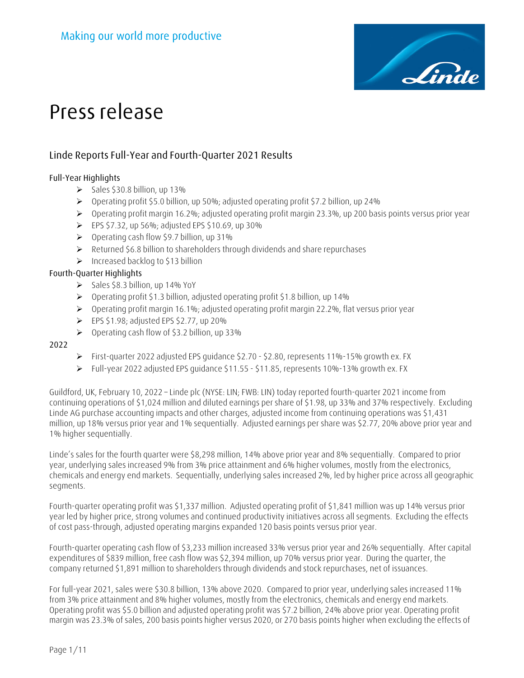

# **Linde Reports Full-Year and Fourth-Quarter 2021 Results**

## **Full-Year Highlights**

- $\geq$  Sales \$30.8 billion, up 13%
- Operating profit \$5.0 billion, up 50%; adjusted operating profit \$7.2 billion, up 24%
- Operating profit margin 16.2%; adjusted operating profit margin 23.3%, up 200 basis points versus prior year
- $\triangleright$  EPS \$7.32, up 56%; adjusted EPS \$10.69, up 30%
- $\triangleright$  Operating cash flow \$9.7 billion, up 31%
- Returned \$6.8 billion to shareholders through dividends and share repurchases
- $\triangleright$  Increased backlog to \$13 billion

# **Fourth-Quarter Highlights**

- $\triangleright$  Sales \$8.3 billion, up 14% YoY
- Operating profit \$1.3 billion, adjusted operating profit \$1.8 billion, up 14%
- $\triangleright$  Operating profit margin 16.1%; adjusted operating profit margin 22.2%, flat versus prior year
- $\triangleright$  EPS \$1.98; adjusted EPS \$2.77, up 20%
- $\triangleright$  Operating cash flow of \$3.2 billion, up 33%

## **2022**

- First-quarter 2022 adjusted EPS quidance  $$2.70 $2.80$ , represents 11%-15% growth ex. FX
- $\triangleright$  Full-year 2022 adjusted EPS quidance \$11.55 \$11.85, represents 10%-13% growth ex. FX

Guildford, UK, February 10, 2022 – Linde plc (NYSE: LIN; FWB: LIN) today reported fourth-quarter 2021 income from continuing operations of \$1,024 million and diluted earnings per share of \$1.98, up 33% and 37% respectively. Excluding Linde AG purchase accounting impacts and other charges, adjusted income from continuing operations was \$1,431 million, up 18% versus prior year and 1% sequentially. Adjusted earnings per share was \$2.77, 20% above prior year and 1% higher sequentially.

Linde's sales for the fourth quarter were \$8,298 million, 14% above prior year and 8% sequentially. Compared to prior year, underlying sales increased 9% from 3% price attainment and 6% higher volumes, mostly from the electronics, chemicals and energy end markets. Sequentially, underlying sales increased 2%, led by higher price across all geographic segments.

Fourth-quarter operating profit was \$1,337 million. Adjusted operating profit of \$1,841 million was up 14% versus prior year led by higher price, strong volumes and continued productivity initiatives across all segments. Excluding the effects of cost pass-through, adjusted operating margins expanded 120 basis points versus prior year.

Fourth-quarter operating cash flow of \$3,233 million increased 33% versus prior year and 26% sequentially. After capital expenditures of \$839 million, free cash flow was \$2,394 million, up 70% versus prior year. During the quarter, the company returned \$1,891 million to shareholders through dividends and stock repurchases, net of issuances.

For full-year 2021, sales were \$30.8 billion, 13% above 2020. Compared to prior year, underlying sales increased 11% from 3% price attainment and 8% higher volumes, mostly from the electronics, chemicals and energy end markets. Operating profit was \$5.0 billion and adjusted operating profit was \$7.2 billion, 24% above prior year. Operating profit margin was 23.3% of sales, 200 basis points higher versus 2020, or 270 basis points higher when excluding the effects of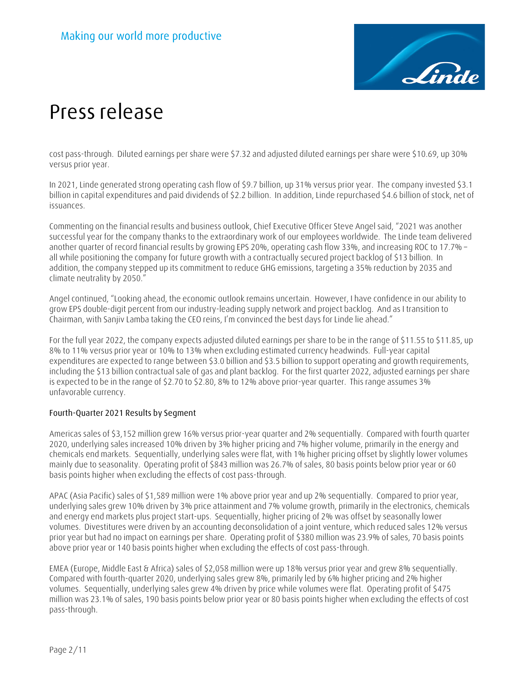

cost pass-through. Diluted earnings per share were \$7.32 and adjusted diluted earnings per share were \$10.69, up 30% versus prior year.

In 2021, Linde generated strong operating cash flow of \$9.7 billion, up 31% versus prior year. The company invested \$3.1 billion in capital expenditures and paid dividends of \$2.2 billion. In addition, Linde repurchased \$4.6 billion of stock, net of issuances.

Commenting on the financial results and business outlook, Chief Executive Officer Steve Angel said, "2021 was another successful year for the company thanks to the extraordinary work of our employees worldwide. The Linde team delivered another quarter of record financial results by growing EPS 20%, operating cash flow 33%, and increasing ROC to 17.7% – all while positioning the company for future growth with a contractually secured project backlog of \$13 billion. In addition, the company stepped up its commitment to reduce GHG emissions, targeting a 35% reduction by 2035 and climate neutrality by 2050."

Angel continued, "Looking ahead, the economic outlook remains uncertain. However, I have confidence in our ability to grow EPS double-digit percent from our industry-leading supply network and project backlog. And as I transition to Chairman, with Sanjiv Lamba taking the CEO reins, I'm convinced the best days for Linde lie ahead."

For the full year 2022, the company expects adjusted diluted earnings per share to be in the range of \$11.55 to \$11.85, up 8% to 11% versus prior year or 10% to 13% when excluding estimated currency headwinds. Full-year capital expenditures are expected to range between \$3.0 billion and \$3.5 billion to support operating and growth requirements, including the \$13 billion contractual sale of gas and plant backlog. For the first quarter 2022, adjusted earnings per share is expected to be in the range of \$2.70 to \$2.80, 8% to 12% above prior-year quarter. This range assumes 3% unfavorable currency.

# **Fourth-Quarter 2021 Results by Segment**

Americas sales of \$3,152 million grew 16% versus prior-year quarter and 2% sequentially. Compared with fourth quarter 2020, underlying sales increased 10% driven by 3% higher pricing and 7% higher volume, primarily in the energy and chemicals end markets. Sequentially, underlying sales were flat, with 1% higher pricing offset by slightly lower volumes mainly due to seasonality. Operating profit of \$843 million was 26.7% of sales, 80 basis points below prior year or 60 basis points higher when excluding the effects of cost pass-through.

APAC (Asia Pacific) sales of \$1,589 million were 1% above prior year and up 2% sequentially. Compared to prior year, underlying sales grew 10% driven by 3% price attainment and 7% volume growth, primarily in the electronics, chemicals and energy end markets plus project start-ups. Sequentially, higher pricing of 2% was offset by seasonally lower volumes. Divestitures were driven by an accounting deconsolidation of a joint venture, which reduced sales 12% versus prior year but had no impact on earnings per share. Operating profit of \$380 million was 23.9% of sales, 70 basis points above prior year or 140 basis points higher when excluding the effects of cost pass-through.

EMEA (Europe, Middle East & Africa) sales of \$2,058 million were up 18% versus prior year and grew 8% sequentially. Compared with fourth-quarter 2020, underlying sales grew 8%, primarily led by 6% higher pricing and 2% higher volumes. Sequentially, underlying sales grew 4% driven by price while volumes were flat. Operating profit of \$475 million was 23.1% of sales, 190 basis points below prior year or 80 basis points higher when excluding the effects of cost pass-through.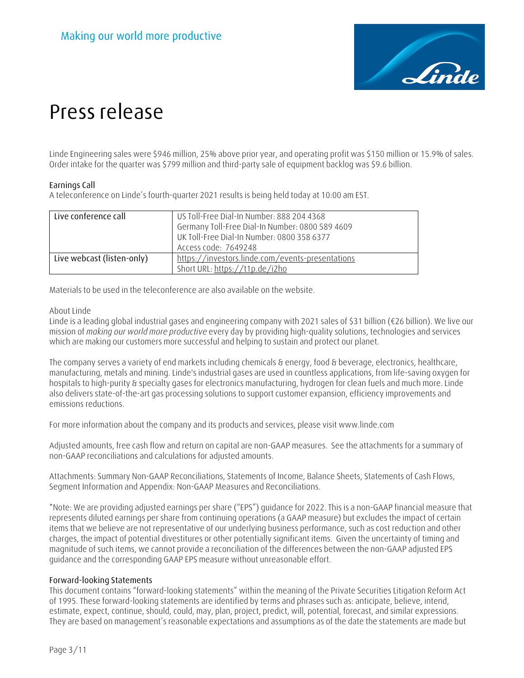

Linde Engineering sales were \$946 million, 25% above prior year, and operating profit was \$150 million or 15.9% of sales. Order intake for the quarter was \$799 million and third-party sale of equipment backlog was \$9.6 billion.

## **Earnings Call**

A teleconference on Linde's fourth-quarter 2021 results is being held today at 10:00 am EST.

| Live conference call       | US Toll-Free Dial-In Number: 888 204 4368<br>Germany Toll-Free Dial-In Number: 0800 589 4609<br>UK Toll-Free Dial-In Number: 0800 358 6377 |
|----------------------------|--------------------------------------------------------------------------------------------------------------------------------------------|
|                            | Access code: 7649248                                                                                                                       |
| Live webcast (listen-only) | https://investors.linde.com/events-presentations                                                                                           |
|                            | Short URL: https://t1p.de/i2ho                                                                                                             |

Materials to be used in the teleconference are also available on the website.

## About Linde

Linde is a leading global industrial gases and engineering company with 2021 sales of \$31 billion (€26 billion). We live our mission of *making our world more productive* every day by providing high-quality solutions, technologies and services which are making our customers more successful and helping to sustain and protect our planet.

The company serves a variety of end markets including chemicals & energy, food & beverage, electronics, healthcare, manufacturing, metals and mining. Linde's industrial gases are used in countless applications, from life-saving oxygen for hospitals to high-purity & specialty gases for electronics manufacturing, hydrogen for clean fuels and much more. Linde also delivers state-of-the-art gas processing solutions to support customer expansion, efficiency improvements and emissions reductions.

For more information about the company and its products and services, please visit www.linde.com

Adjusted amounts, free cash flow and return on capital are non-GAAP measures. See the attachments for a summary of non-GAAP reconciliations and calculations for adjusted amounts.

Attachments: Summary Non-GAAP Reconciliations, Statements of Income, Balance Sheets, Statements of Cash Flows, Segment Information and Appendix: Non-GAAP Measures and Reconciliations.

\*Note: We are providing adjusted earnings per share ("EPS") guidance for 2022. This is a non-GAAP financial measure that represents diluted earnings per share from continuing operations (a GAAP measure) but excludes the impact of certain items that we believe are not representative of our underlying business performance, such as cost reduction and other charges, the impact of potential divestitures or other potentially significant items. Given the uncertainty of timing and magnitude of such items, we cannot provide a reconciliation of the differences between the non-GAAP adjusted EPS guidance and the corresponding GAAP EPS measure without unreasonable effort.

## **Forward-looking Statements**

This document contains "forward-looking statements" within the meaning of the Private Securities Litigation Reform Act of 1995. These forward-looking statements are identified by terms and phrases such as: anticipate, believe, intend, estimate, expect, continue, should, could, may, plan, project, predict, will, potential, forecast, and similar expressions. They are based on management's reasonable expectations and assumptions as of the date the statements are made but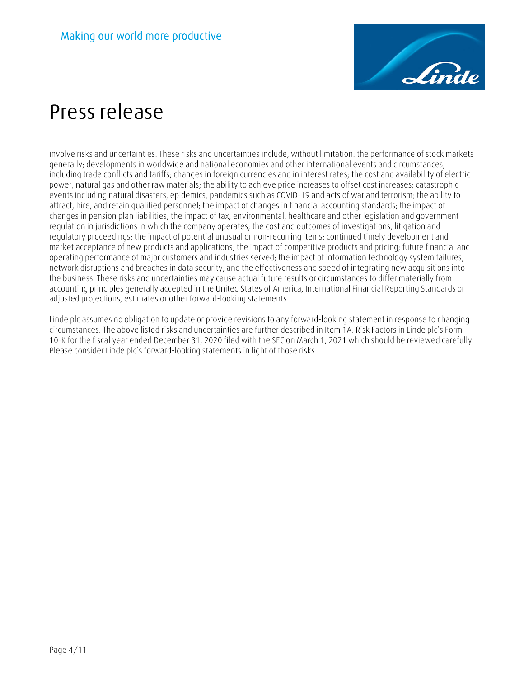

involve risks and uncertainties. These risks and uncertainties include, without limitation: the performance of stock markets generally; developments in worldwide and national economies and other international events and circumstances, including trade conflicts and tariffs; changes in foreign currencies and in interest rates; the cost and availability of electric power, natural gas and other raw materials; the ability to achieve price increases to offset cost increases; catastrophic events including natural disasters, epidemics, pandemics such as COVID-19 and acts of war and terrorism; the ability to attract, hire, and retain qualified personnel; the impact of changes in financial accounting standards; the impact of changes in pension plan liabilities; the impact of tax, environmental, healthcare and other legislation and government regulation in jurisdictions in which the company operates; the cost and outcomes of investigations, litigation and regulatory proceedings; the impact of potential unusual or non-recurring items; continued timely development and market acceptance of new products and applications; the impact of competitive products and pricing; future financial and operating performance of major customers and industries served; the impact of information technology system failures, network disruptions and breaches in data security; and the effectiveness and speed of integrating new acquisitions into the business. These risks and uncertainties may cause actual future results or circumstances to differ materially from accounting principles generally accepted in the United States of America, International Financial Reporting Standards or adjusted projections, estimates or other forward-looking statements.

Linde plc assumes no obligation to update or provide revisions to any forward-looking statement in response to changing circumstances. The above listed risks and uncertainties are further described in Item 1A. Risk Factors in Linde plc's Form 10-K for the fiscal year ended December 31, 2020 filed with the SEC on March 1, 2021 which should be reviewed carefully. Please consider Linde plc's forward-looking statements in light of those risks.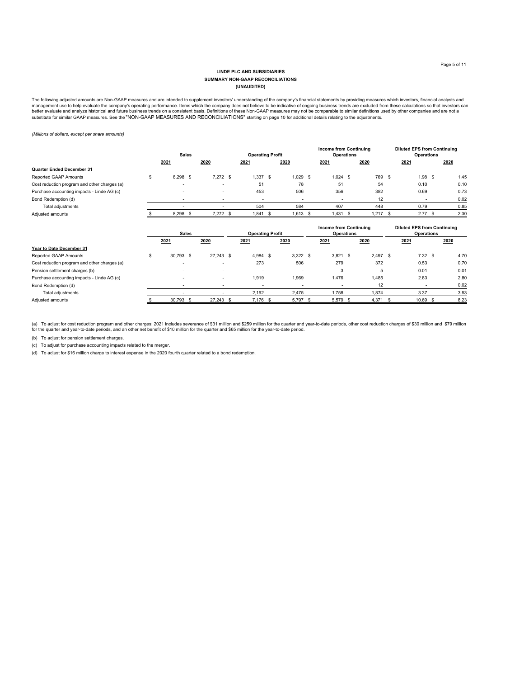#### **LINDE PLC AND SUBSIDIARIES (UNAUDITED) SUMMARY NON-GAAP RECONCILIATIONS**

The following adjusted amounts are Non-GAAP measures and are intended to supplement investors' understanding of the company's financial statements by providing measures which investors, financial analysts and<br>management us

*(Millions of dollars, except per share amounts)*

|                                              | <b>Sales</b> |      |                          | <b>Operating Profit</b>  |                          | <b>Income from Continuing</b><br><b>Operations</b> |            |      | <b>Diluted EPS from Continuing</b><br><b>Operations</b> |    |                          |      |
|----------------------------------------------|--------------|------|--------------------------|--------------------------|--------------------------|----------------------------------------------------|------------|------|---------------------------------------------------------|----|--------------------------|------|
|                                              | 2021         |      | 2020                     | 2021                     | 2020                     |                                                    | 2021       |      | 2020                                                    |    | 2021                     | 2020 |
| Quarter Ended December 31                    |              |      |                          |                          |                          |                                                    |            |      |                                                         |    |                          |      |
| Reported GAAP Amounts                        | 8.298        | - \$ | $7.272$ \$               | 1.337S                   | $1.029$ \$               |                                                    | $1.024$ \$ |      | 769                                                     | \$ | 1.98 <sup>5</sup>        | 1.45 |
| Cost reduction program and other charges (a) |              |      | $\overline{\phantom{0}}$ | 51                       | 78                       |                                                    | 51         |      | 54                                                      |    | 0.10                     | 0.10 |
| Purchase accounting impacts - Linde AG (c)   |              |      |                          | 453                      | 506                      |                                                    | 356        |      | 382                                                     |    | 0.69                     | 0.73 |
| Bond Redemption (d)                          |              |      | $\overline{\phantom{0}}$ | $\overline{\phantom{0}}$ | $\overline{\phantom{0}}$ |                                                    |            |      | 12                                                      |    | $\overline{\phantom{0}}$ | 0.02 |
| Total adjustments                            |              |      |                          | 504                      | 584                      |                                                    | 407        |      | 448                                                     |    | 0.79                     | 0.85 |
| Adjusted amounts                             | 8,298        | -\$  | $7.272$ \$               | $1,841$ \$               | $1.613$ \$               |                                                    | 1,431      | - \$ | 1,217                                                   |    | 2.77S                    | 2.30 |

|                                              | <b>Sales</b>             |      |                          | <b>Operating Profit</b>  |  | <b>Income from Continuing</b><br>Operations |            | <b>Diluted EPS from Continuing</b><br><b>Operations</b> |      |            |      |
|----------------------------------------------|--------------------------|------|--------------------------|--------------------------|--|---------------------------------------------|------------|---------------------------------------------------------|------|------------|------|
|                                              | 2021                     | 2020 |                          | 2021                     |  | 2020                                        | 2021       | 2020                                                    |      | 2021       | 2020 |
| Year to Date December 31                     |                          |      |                          |                          |  |                                             |            |                                                         |      |            |      |
| Reported GAAP Amounts                        | \$<br>30,793 \$          |      | $27.243$ \$              | 4.984 \$                 |  | $3.322$ \$                                  | $3,821$ \$ | 2.497                                                   | - \$ | $7.32$ \$  | 4.70 |
| Cost reduction program and other charges (a) | $\overline{\phantom{0}}$ |      | -                        | 273                      |  | 506                                         | 279        | 372                                                     |      | 0.53       | 0.70 |
| Pension settlement charges (b)               |                          |      | $\overline{\phantom{0}}$ | $\overline{\phantom{0}}$ |  | $\overline{\phantom{a}}$                    | 3          | 5                                                       |      | 0.01       | 0.01 |
| Purchase accounting impacts - Linde AG (c)   |                          |      | $\overline{\phantom{0}}$ | 1.919                    |  | 1,969                                       | 1.476      | 1.485                                                   |      | 2.83       | 2.80 |
| Bond Redemption (d)                          |                          |      |                          |                          |  | $\overline{\phantom{0}}$                    |            | 12                                                      |      |            | 0.02 |
| Total adjustments                            |                          |      |                          | 2,192                    |  | 2,475                                       | 1,758      | 1,874                                                   |      | 3.37       | 3.53 |
| Adjusted amounts                             | 30,793 \$                |      | 27.243 \$                | $7.176$ \$               |  | $5.797$ \$                                  | 5,579 \$   | 4.371 \$                                                |      | $10.69$ \$ | 8.23 |

(a) To adjust for cost reduction program and other charges; 2021 includes severance of \$31 million and \$259 million for the quarter and year-to-date periods, other cost reduction charges of \$30 million and \$79 million<br>for

(b) To adjust for pension settlement charges.

(c) To adjust for purchase accounting impacts related to the merger.

(d) To adjust for \$16 million charge to interest expense in the 2020 fourth quarter related to a bond redemption.

| Bond Redemption (d) | -                        | -                        |  |
|---------------------|--------------------------|--------------------------|--|
| Total adjustments   | $\overline{\phantom{0}}$ | $\overline{\phantom{0}}$ |  |
| Adjusted amounts    | 30.793                   | 27.243                   |  |
|                     |                          |                          |  |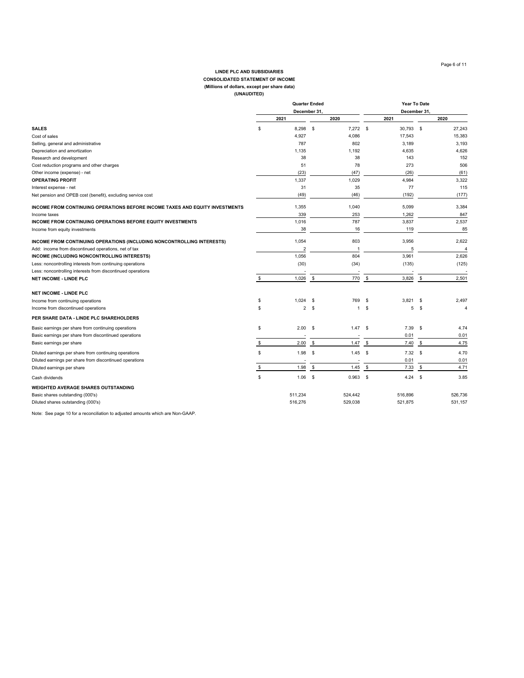### Page 6 of 11

### **(Millions of dollars, except per share data) CONSOLIDATED STATEMENT OF INCOME LINDE PLC AND SUBSIDIARIES**

| (UNAUDITED) |  |
|-------------|--|
|-------------|--|

|                                                                              | <b>Quarter Ended</b> |                |          |              |               | Year To Date |          |         |  |  |
|------------------------------------------------------------------------------|----------------------|----------------|----------|--------------|---------------|--------------|----------|---------|--|--|
|                                                                              |                      | December 31    |          |              |               | December 31  |          |         |  |  |
|                                                                              |                      | 2021           |          | 2020         |               | 2021         |          | 2020    |  |  |
| <b>SALES</b>                                                                 | S                    | 8,298          | S.       | $7.272$ \$   |               | 30.793 \$    |          | 27,243  |  |  |
| Cost of sales                                                                |                      | 4,927          |          | 4,086        |               | 17,543       |          | 15,383  |  |  |
| Selling, general and administrative                                          |                      | 787            |          | 802          |               | 3,189        |          | 3,193   |  |  |
| Depreciation and amortization                                                |                      | 1,135          |          | 1,192        |               | 4,635        |          | 4,626   |  |  |
| Research and development                                                     |                      | 38             |          | 38           |               | 143          |          | 152     |  |  |
| Cost reduction programs and other charges                                    |                      | 51             |          | 78           |               | 273          |          | 506     |  |  |
| Other income (expense) - net                                                 |                      | (23)           |          | (47)         |               | (26)         |          | (61)    |  |  |
| <b>OPERATING PROFIT</b>                                                      |                      | 1,337          |          | 1,029        |               | 4,984        |          | 3,322   |  |  |
| Interest expense - net                                                       |                      | 31             |          | 35           |               | 77           |          | 115     |  |  |
| Net pension and OPEB cost (benefit), excluding service cost                  |                      | (49)           |          | (46)         |               | (192)        |          | (177)   |  |  |
| INCOME FROM CONTINUING OPERATIONS BEFORE INCOME TAXES AND EQUITY INVESTMENTS |                      | 1,355          |          | 1,040        |               | 5,099        |          | 3,384   |  |  |
| Income taxes                                                                 |                      | 339            |          | 253          |               | 1,262        |          | 847     |  |  |
| INCOME FROM CONTINUING OPERATIONS BEFORE EQUITY INVESTMENTS                  |                      | 1,016          |          | 787          |               | 3.837        |          | 2,537   |  |  |
| Income from equity investments                                               |                      | 38             |          | 16           |               | 119          |          | 85      |  |  |
| INCOME FROM CONTINUING OPERATIONS (INCLUDING NONCONTROLLING INTERESTS)       |                      | 1,054          |          | 803          |               | 3,956        |          | 2,622   |  |  |
| Add: income from discontinued operations, net of tax                         |                      | $\overline{2}$ |          |              |               | 5            |          | 4       |  |  |
| INCOME (INCLUDING NONCONTROLLING INTERESTS)                                  |                      | 1.056          |          | 804          |               | 3,961        |          | 2.626   |  |  |
| Less: noncontrolling interests from continuing operations                    |                      | (30)           |          | (34)         |               | (135)        |          | (125)   |  |  |
| Less: noncontrolling interests from discontinued operations                  |                      |                |          |              |               |              |          |         |  |  |
| <b>NET INCOME - LINDE PLC</b>                                                | S.                   | 1,026          | \$       | 770          | \$            | 3,826        | \$       | 2,501   |  |  |
| <b>NET INCOME - LINDE PLC</b>                                                |                      |                |          |              |               |              |          |         |  |  |
| Income from continuing operations                                            | \$                   | $1,024$ \$     |          | 769          | \$            | 3,821        | \$       | 2,497   |  |  |
| Income from discontinued operations                                          | \$                   | $\overline{2}$ | \$       | $\mathbf{1}$ | \$            | 5            | \$       | 4       |  |  |
| PER SHARE DATA - LINDE PLC SHAREHOLDERS                                      |                      |                |          |              |               |              |          |         |  |  |
| Basic earnings per share from continuing operations                          | S                    | 2.00           | \$       | 1.47         | \$            | 7.39         | -S       | 4.74    |  |  |
| Basic earnings per share from discontinued operations                        |                      |                |          |              |               | 0.01         |          | 0.01    |  |  |
| Basic earnings per share                                                     | S                    | 2.00           | \$       | 1.47         | $\sqrt[6]{3}$ | 7.40         | \$       | 4.75    |  |  |
| Diluted earnings per share from continuing operations                        | \$                   | 1.98           | \$       | 1.45         | \$            | 7.32         | <b>S</b> | 4.70    |  |  |
| Diluted earnings per share from discontinued operations                      |                      |                |          |              |               | 0.01         |          | 0.01    |  |  |
| Diluted earnings per share                                                   | S                    | 1.98           | <b>S</b> | 1.45         | $\sqrt{3}$    | 7.33         | -\$      | 4.71    |  |  |
| Cash dividends                                                               | \$                   | 1.06           | \$       | 0.963        | \$            | 4.24         | \$       | 3.85    |  |  |
| <b>WEIGHTED AVERAGE SHARES OUTSTANDING</b>                                   |                      |                |          |              |               |              |          |         |  |  |
| Basic shares outstanding (000's)                                             |                      | 511,234        |          | 524,442      |               | 516,896      |          | 526,736 |  |  |
| Diluted shares outstanding (000's)                                           |                      | 516,276        |          | 529,038      |               | 521,875      |          | 531,157 |  |  |

Note: See page 10 for a reconciliation to adjusted amounts which are Non-GAAP.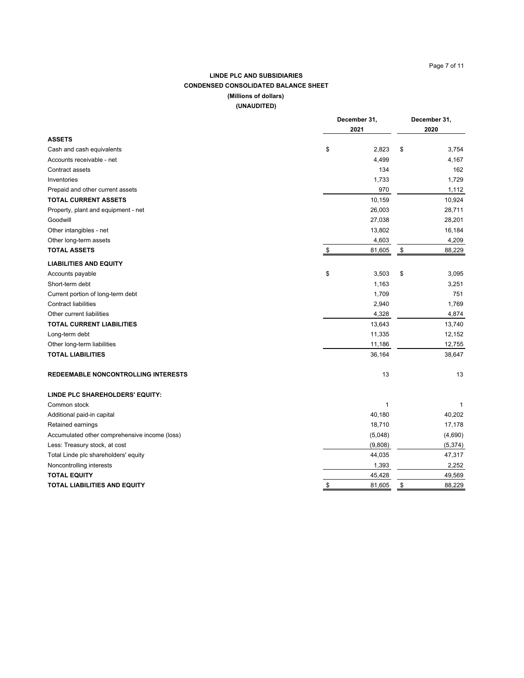## Page 7 of 11

## **LINDE PLC AND SUBSIDIARIES CONDENSED CONSOLIDATED BALANCE SHEET (Millions of dollars) (UNAUDITED)**

|                                               |               | December 31,<br>2021 |               | December 31,<br>2020 |
|-----------------------------------------------|---------------|----------------------|---------------|----------------------|
| <b>ASSETS</b>                                 |               |                      |               |                      |
| Cash and cash equivalents                     | \$            | 2,823                | \$            | 3,754                |
| Accounts receivable - net                     |               | 4,499                |               | 4,167                |
| Contract assets                               |               | 134                  |               | 162                  |
| Inventories                                   |               | 1,733                |               | 1,729                |
| Prepaid and other current assets              |               | 970                  |               | 1,112                |
| <b>TOTAL CURRENT ASSETS</b>                   |               | 10,159               |               | 10,924               |
| Property, plant and equipment - net           |               | 26,003               |               | 28,711               |
| Goodwill                                      |               | 27,038               |               | 28,201               |
| Other intangibles - net                       |               | 13,802               |               | 16,184               |
| Other long-term assets                        |               | 4,603                |               | 4,209                |
| <b>TOTAL ASSETS</b>                           | $\frac{3}{2}$ | 81,605               | $\sqrt[6]{3}$ | 88,229               |
| <b>LIABILITIES AND EQUITY</b>                 |               |                      |               |                      |
| Accounts payable                              | \$            | 3,503                | \$            | 3,095                |
| Short-term debt                               |               | 1,163                |               | 3,251                |
| Current portion of long-term debt             |               | 1,709                |               | 751                  |
| <b>Contract liabilities</b>                   |               | 2,940                |               | 1,769                |
| Other current liabilities                     |               | 4,328                |               | 4,874                |
| <b>TOTAL CURRENT LIABILITIES</b>              |               | 13,643               |               | 13,740               |
| Long-term debt                                |               | 11,335               |               | 12,152               |
| Other long-term liabilities                   |               | 11,186               |               | 12,755               |
| <b>TOTAL LIABILITIES</b>                      |               | 36,164               |               | 38,647               |
| REDEEMABLE NONCONTROLLING INTERESTS           |               | 13                   |               | 13                   |
| LINDE PLC SHAREHOLDERS' EQUITY:               |               |                      |               |                      |
| Common stock                                  |               | $\mathbf{1}$         |               | -1                   |
| Additional paid-in capital                    |               | 40,180               |               | 40,202               |
| Retained earnings                             |               | 18,710               |               | 17,178               |
| Accumulated other comprehensive income (loss) |               | (5,048)              |               | (4,690)              |
| Less: Treasury stock, at cost                 |               | (9,808)              |               | (5, 374)             |
| Total Linde plc shareholders' equity          |               | 44,035               |               | 47,317               |
| Noncontrolling interests                      |               | 1,393                |               | 2,252                |
| <b>TOTAL EQUITY</b>                           |               | 45,428               |               | 49,569               |
| <b>TOTAL LIABILITIES AND EQUITY</b>           | \$            | 81,605               | \$            | 88,229               |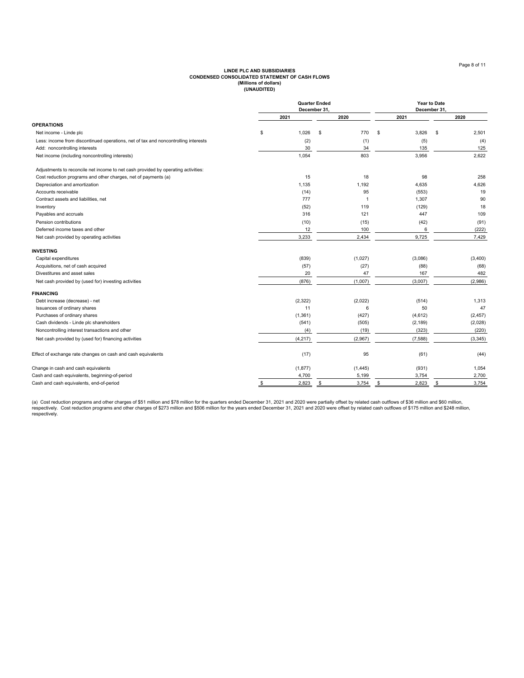## **(Millions of dollars) CONDENSED CONSOLIDATED STATEMENT OF CASH FLOWS LINDE PLC AND SUBSIDIARIES (UNAUDITED)**

|                                                                                    | December 31, | <b>Quarter Ended</b> |    | Year to Date<br>December 31, |   |          |
|------------------------------------------------------------------------------------|--------------|----------------------|----|------------------------------|---|----------|
|                                                                                    | 2021         | 2020                 |    | 2021                         |   | 2020     |
| <b>OPERATIONS</b>                                                                  |              |                      |    |                              |   |          |
| Net income - Linde plc                                                             | \$<br>1,026  | \$<br>770            | \$ | 3,826                        | S | 2,501    |
| Less: income from discontinued operations, net of tax and noncontrolling interests | (2)          | (1)                  |    | (5)                          |   | (4)      |
| Add: noncontrolling interests                                                      | 30           | 34                   |    | 135                          |   | 125      |
| Net income (including noncontrolling interests)                                    | 1,054        | 803                  |    | 3,956                        |   | 2,622    |
| Adjustments to reconcile net income to net cash provided by operating activities:  |              |                      |    |                              |   |          |
| Cost reduction programs and other charges, net of payments (a)                     | 15           | 18                   |    | 98                           |   | 258      |
| Depreciation and amortization                                                      | 1,135        | 1,192                |    | 4,635                        |   | 4,626    |
| Accounts receivable                                                                | (14)         | 95                   |    | (553)                        |   | 19       |
| Contract assets and liabilities, net                                               | 777          | -1                   |    | 1,307                        |   | 90       |
| Inventory                                                                          | (52)         | 119                  |    | (129)                        |   | 18       |
| Payables and accruals                                                              | 316          | 121                  |    | 447                          |   | 109      |
| Pension contributions                                                              | (10)         | (15)                 |    | (42)                         |   | (91)     |
| Deferred income taxes and other                                                    | 12           | 100                  |    | 6                            |   | (222)    |
| Net cash provided by operating activities                                          | 3,233        | 2,434                |    | 9,725                        |   | 7,429    |
| <b>INVESTING</b>                                                                   |              |                      |    |                              |   |          |
| Capital expenditures                                                               | (839)        | (1,027)              |    | (3,086)                      |   | (3,400)  |
| Acquisitions, net of cash acquired                                                 | (57)         | (27)                 |    | (88)                         |   | (68)     |
| Divestitures and asset sales                                                       | 20           | 47                   |    | 167                          |   | 482      |
| Net cash provided by (used for) investing activities                               | (876)        | (1,007)              |    | (3,007)                      |   | (2,986)  |
| <b>FINANCING</b>                                                                   |              |                      |    |                              |   |          |
| Debt increase (decrease) - net                                                     | (2,322)      | (2,022)              |    | (514)                        |   | 1,313    |
| Issuances of ordinary shares                                                       | 11           |                      | 6  | 50                           |   | 47       |
| Purchases of ordinary shares                                                       | (1, 361)     | (427)                |    | (4,612)                      |   | (2, 457) |
| Cash dividends - Linde plc shareholders                                            | (541)        | (505)                |    | (2, 189)                     |   | (2,028)  |
| Noncontrolling interest transactions and other                                     | (4)          | (19)                 |    | (323)                        |   | (220)    |
| Net cash provided by (used for) financing activities                               | (4, 217)     | (2,967)              |    | (7, 588)                     |   | (3, 345) |
| Effect of exchange rate changes on cash and cash equivalents                       | (17)         | 95                   |    | (61)                         |   | (44)     |
| Change in cash and cash equivalents                                                | (1, 877)     | (1, 445)             |    | (931)                        |   | 1,054    |
| Cash and cash equivalents, beginning-of-period                                     | 4,700        | 5,199                |    | 3,754                        |   | 2,700    |
| Cash and cash equivalents, end-of-period                                           | \$<br>2,823  | \$<br>3,754          | \$ | 2,823                        | s | 3,754    |

(a) Cost reduction programs and other charges of \$51 million and \$78 million for the quarters ended December 31, 2021 and 2020 were partially offset by related cash outflows of \$36 million and \$60 million,<br>respectively.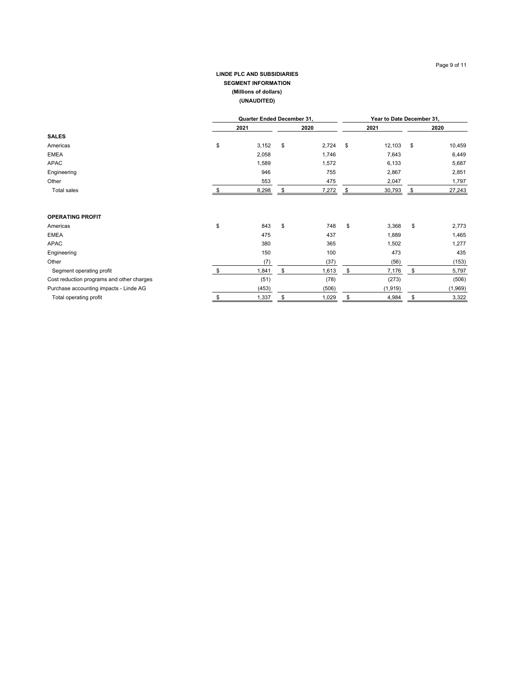## **LINDE PLC AND SUBSIDIARIES SEGMENT INFORMATION (Millions of dollars) (UNAUDITED)**

|                                           | Quarter Ended December 31, |    |       |    |          | Year to Date December 31, |         |  |
|-------------------------------------------|----------------------------|----|-------|----|----------|---------------------------|---------|--|
|                                           | 2021                       |    | 2020  |    | 2021     |                           | 2020    |  |
| <b>SALES</b>                              |                            |    |       |    |          |                           |         |  |
| Americas                                  | \$<br>3,152                | \$ | 2,724 | \$ | 12,103   | \$                        | 10,459  |  |
| <b>EMEA</b>                               | 2,058                      |    | 1,746 |    | 7,643    |                           | 6,449   |  |
| <b>APAC</b>                               | 1,589                      |    | 1,572 |    | 6,133    |                           | 5,687   |  |
| Engineering                               | 946                        |    | 755   |    | 2,867    |                           | 2,851   |  |
| Other                                     | 553                        |    | 475   |    | 2,047    |                           | 1,797   |  |
| <b>Total sales</b>                        | 8,298                      |    | 7,272 | \$ | 30,793   |                           | 27,243  |  |
| <b>OPERATING PROFIT</b>                   |                            |    |       |    |          |                           |         |  |
| Americas                                  | \$<br>843                  | \$ | 748   | \$ | 3,368    | \$                        | 2,773   |  |
| <b>EMEA</b>                               | 475                        |    | 437   |    | 1,889    |                           | 1,465   |  |
| <b>APAC</b>                               | 380                        |    | 365   |    | 1,502    |                           | 1,277   |  |
| Engineering                               | 150                        |    | 100   |    | 473      |                           | 435     |  |
| Other                                     | (7)                        |    | (37)  |    | (56)     |                           | (153)   |  |
| Segment operating profit                  | \$<br>1,841                | \$ | 1,613 | \$ | 7,176    | \$                        | 5,797   |  |
| Cost reduction programs and other charges | (51)                       |    | (78)  |    | (273)    |                           | (506)   |  |
| Purchase accounting impacts - Linde AG    | (453)                      |    | (506) |    | (1, 919) |                           | (1,969) |  |
| Total operating profit                    | \$<br>1,337                | \$ | 1,029 | \$ | 4,984    |                           | 3,322   |  |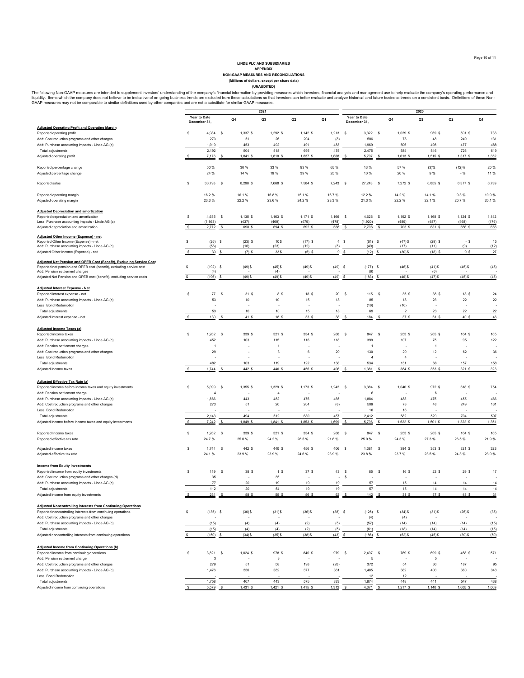### **LINDE PLC AND SUBSIDIARIES**

APPENDIX<br>RON-GAAP MEASURES AND RECONCILIATIONS<br>(Millions of dollars, except per share data)<br>(UNAUDITED)

The following Non-GAAP measures are intended to supplement investors' understanding of the company's financial information by providing measures which investors, financial analysts and management use to help evaluate the c

|                                                                                                          | 2021         |                     |              |                   |                     |                     | 2020                     |              |                     |                    |                         |                   |                   |                |
|----------------------------------------------------------------------------------------------------------|--------------|---------------------|--------------|-------------------|---------------------|---------------------|--------------------------|--------------|---------------------|--------------------|-------------------------|-------------------|-------------------|----------------|
|                                                                                                          |              | Year to Date        |              | Q <sub>4</sub>    | Q <sub>3</sub>      | Q <sub>2</sub>      | Q1                       |              | Year to Date        |                    | Q4                      | Q <sub>3</sub>    | Q2                | Q1             |
|                                                                                                          |              | December 31,        |              |                   |                     |                     |                          |              | December 31,        |                    |                         |                   |                   |                |
| <b>Adjusted Operating Profit and Operating Margin</b>                                                    |              |                     |              |                   |                     |                     |                          |              |                     |                    |                         |                   |                   |                |
| Reported operating profit                                                                                | \$           | 4,984               | s            | 1,337 \$          | 1,292 \$            | $1,142$ \$          | $1,213$ \$               |              | 3,322 \$            |                    | 1,029 \$                | 969 S             | 591 \$            | 733            |
| Add: Cost reduction programs and other charges                                                           |              | 273                 |              | 51                | 26                  | 204                 | (8)                      |              | 506                 |                    | 78                      | 48                | 249               | 131            |
| Add: Purchase accounting impacts - Linde AG (c)                                                          |              | 1,919               |              | 453               | 492                 | 491                 | 483                      |              | 1,969               |                    | 506                     | 498               | 477               | 488            |
| Total adjustments<br>Adjusted operating profit                                                           |              | 2,192               |              | 504               | 518                 | 695                 | 475                      |              | 2,475               |                    | 584                     | 546               | 726               | 619            |
|                                                                                                          | s            | 7,176               |              | 1,841 \$          | 1,810 \$            | 1,837 \$            | 1,688                    | -S           | 5,797               |                    | 1,613 \$                | 1,515 \$          | 1,317 \$          | 1,352          |
| Reported percentage change                                                                               |              | 50 %                |              | 30 %              | 33 %                | 93%                 | 65 %                     |              | 13 %                |                    | 57 %                    | (3)%              | (12)%             | 20 %           |
| Adjusted percentage change                                                                               |              | 24 %                |              | 14 %              | 19%                 | 39%                 | 25 %                     |              | 10 %                |                    | 20 %                    | 9%                | $-96$             | 11 %           |
|                                                                                                          |              |                     |              |                   |                     |                     |                          |              |                     |                    |                         |                   |                   |                |
| Reported sales                                                                                           | s            | 30,793              | <sub>S</sub> | 8,298 \$          | 7,668 \$            | 7,584 \$            | 7,243                    | <b>S</b>     | 27,243 \$           |                    | 7,272 \$                | 6,855 \$          | 6,377 \$          | 6,739          |
| Reported operating margin                                                                                |              | 16.2%               |              | 16.1%             | 16.8%               | 15.1%               | 16.7%                    |              | 12.2%               |                    | 14.2%                   | 14.1%             | 9.3%              | 10.9%          |
| Adjusted operating margin                                                                                |              | 23.3%               |              | 22.2%             | 23.6%               | 24.2%               | 23.3%                    |              | 21.3%               |                    | 22.2%                   | 22.1%             | 20.7%             | 20.1%          |
| <b>Adjusted Depreciation and amortization</b>                                                            |              |                     |              |                   |                     |                     |                          |              |                     |                    |                         |                   |                   |                |
| Reported depreciation and amortization                                                                   | \$           | 4,635               | - S          | 1,135 \$<br>(437) | $1,163$ \$<br>(469) | $1,171$ \$<br>(479) | $1.166$ \$<br>(478)      |              | 4,626 \$<br>(1,920) |                    | 1,192 \$                | 1,168 \$          | $1,124$ \$        | 1,142<br>(476) |
| Less: Purchase accounting impacts - Linde AG (c)<br>Adjusted depreciation and amortization               | \$           | (1,863)<br>2,772    | s            | 698 \$            | 694 \$              | 692 \$              | 688                      | \$           | 2,706               | \$                 | (489)<br>703 \$         | (487)<br>681 \$   | (468)<br>656 \$   | 666            |
|                                                                                                          |              |                     |              |                   |                     |                     |                          |              |                     |                    |                         |                   |                   |                |
| Adjusted Other Income (Expense) - net                                                                    |              |                     |              |                   |                     |                     |                          |              |                     |                    |                         |                   |                   |                |
| Reported Other Income (Expense) - net<br>Add: Purchase accounting impacts - Linde AG (c)                 | s            | (26)                | -S           | $(23)$ \$<br>(16) | 10\$<br>(23)        | $(17)$ \$<br>(12)   |                          | 4S           | $(61)$ \$<br>(49)   |                    | $(47)$ \$<br>(17)       | $(29)$ \$<br>(11) | - S<br>(9)        | 15<br>(12)     |
| Adjusted Other Income (Expense) - net                                                                    | $\mathbf{s}$ | (56)<br>30          | s            | $(7)$ \$          | 33\$                | $(5)$ \$            | (5)<br>9                 | -S           | (12)                | \$                 | $(30)$ \$               | $(18)$ \$         | 9 S               | 27             |
|                                                                                                          |              |                     |              |                   |                     |                     |                          |              |                     |                    |                         |                   |                   |                |
| Adjusted Net Pension and OPEB Cost (Benefit), Excluding Service Cost                                     |              |                     |              |                   |                     |                     |                          |              |                     |                    |                         |                   |                   |                |
| Reported net pension and OPEB cost (benefit), excluding service cost                                     | s            | $(192)$ \$          |              | $(49)$ \$         | $(45)$ \$           | $(49)$ \$           | $(49)$ \$                |              | $(177)$ \$          |                    | $(46)$ \$               | $(41)$ \$         | $(45)$ \$         | (45)           |
| Add: Pension settlement charges<br>Adjusted Net Pension and OPEB cost (benefit), excluding service costs |              | (4)<br>(196)        | \$           | $(49)$ \$         | (4)<br>$(49)$ \$    | $(49)$ \$           | (49)                     |              | (6)<br>(183)        | <b>s</b>           | $(46)$ \$               | (6)<br>$(47)$ \$  | $(45)$ \$         | (45)           |
|                                                                                                          |              |                     |              |                   |                     |                     |                          |              |                     |                    |                         |                   |                   |                |
| Adjusted Interest Expense - Net                                                                          |              |                     |              |                   |                     |                     |                          |              |                     |                    |                         |                   |                   |                |
| Reported interest expense - net                                                                          | \$           | 77                  | -S           | 31 S              | 8\$                 | 18 S                | 20                       | - S          | 115                 | <b>S</b>           | 35 \$                   | 38 \$             | 18 S              | 24             |
| Add: Purchase accounting impacts - Linde AG (c)                                                          |              | 53                  |              | 10                | 10                  | 15                  | 18                       |              | 85                  |                    | 18                      | 23                | $22\,$            | 22             |
| Less: Bond Redemption                                                                                    |              |                     |              |                   |                     |                     |                          |              | (16)                |                    | (16)                    |                   |                   |                |
| Total adjustments                                                                                        |              | 53                  |              | 10                | 10                  | 15                  | 18                       |              | 69                  |                    | $\overline{\mathbf{2}}$ | 23                | 22                | 22             |
| Adjusted interest expense - net                                                                          | s            | 130                 | \$           | 41 \$             | 18 \$               | 33 S                | $38\,$                   | - S          | 184                 | \$                 | 37 \$                   | 61 \$             | 40 S              | 46             |
|                                                                                                          |              |                     |              |                   |                     |                     |                          |              |                     |                    |                         |                   |                   |                |
| <b>Adjusted Income Taxes (a)</b>                                                                         |              |                     |              |                   |                     |                     |                          |              |                     |                    |                         |                   |                   |                |
| Reported income taxes                                                                                    | s            | 1,262               | \$           | 339 \$            | 321 \$              | 334 \$              | 268                      | -S           | 847                 | \$                 | 253 \$                  | 265 \$            | 164 \$            | 165            |
| Add: Purchase accounting impacts - Linde AG (c)                                                          |              | 452                 |              | 103               | 115                 | 116                 | 118                      |              | 399                 |                    | 107                     | 75                | 95                | 122            |
| Add: Pension settlement charges                                                                          |              | $\overline{1}$      |              |                   | $\overline{1}$      |                     |                          |              | $\overline{1}$      |                    |                         | $\overline{1}$    |                   |                |
| Add: Cost reduction programs and other charges                                                           |              | 29                  |              |                   | 3                   | 6                   | 20                       |              | 130                 |                    | 20                      | 12                | 62                | 36             |
| Less: Bond Redemption                                                                                    |              |                     |              |                   |                     |                     |                          |              | $\overline{4}$      |                    | $\sqrt{4}$              |                   |                   |                |
| Total adjustments                                                                                        |              | 482                 |              | 103               | 119<br>440S         | 122                 | 138                      |              | 534                 |                    | 131                     | 88                | 157               | 158            |
| Adjusted income taxes                                                                                    |              | 1,744               |              | 442 \$            |                     | 456 S               | 406                      |              | 1,381               |                    | 384 \$                  | 353S              | $321$ \$          | 323            |
| Adjusted Effective Tax Rate (a)                                                                          |              |                     |              |                   |                     |                     |                          |              |                     |                    |                         |                   |                   |                |
| Reported income before income taxes and equity investments                                               | s            | 5,099               | s            | 1,355 \$          | 1,329 \$            | $1,173$ \$          | $1,242$ \$               |              | 3,384               | s                  | $1,040$ \$              | 972 \$            | 618 \$            | 754            |
| Add: Pension settlement charge                                                                           |              | 4                   |              |                   | $\overline{4}$      |                     |                          |              | 6                   |                    |                         | 6                 |                   |                |
| Add: Purchase accounting impacts - Linde AG (c)                                                          |              | 1,866               |              | 443               | 482                 | 476                 | 465                      |              | 1,884               |                    | 488                     | 475               | 455               | 466            |
| Add: Cost reduction programs and other charges                                                           |              | 273                 |              | 51                | 26                  | 204                 | (8)                      |              | 506                 |                    | 78                      | 48                | 249               | 131            |
| Less: Bond Redemption                                                                                    |              |                     |              |                   |                     |                     |                          |              | 16                  |                    | 16                      |                   |                   |                |
| Total adjustments                                                                                        |              | 2,143               |              | 494               | 512                 | 680                 | 457                      |              | 2,412               |                    | 582                     | 529               | 704               | 597            |
| Adjusted income before income taxes and equity investments                                               | $\mathbb S$  | 7,242               | s            | 1,849 \$          | 1,841 \$            | 1,853 \$            | 1,699                    | s            | 5,796               | s                  | 1,622 \$                | 1,501 \$          | 1,322 \$          | 1,351          |
| Reported Income taxes                                                                                    | \$           | $1,262$ \$          |              | 339 \$            | 321 \$              | 334 \$              | 268                      | s            | 847 \$              |                    | 253 \$                  | 265 \$            | 164 \$            | 165            |
| Reported effective tax rate                                                                              |              | 24.7%               |              | 25.0%             | 24.2%               | 28.5%               | 21.6%                    |              | 25.0%               |                    | 24.3%                   | 27.3%             | 26.5%             | 21.9%          |
|                                                                                                          |              |                     |              |                   |                     |                     |                          |              |                     |                    |                         |                   |                   |                |
| Adjusted income taxes<br>Adjusted effective tax rate                                                     | s            | $1,744$ \$<br>24.1% |              | 442 \$<br>23.9%   | 440 S<br>23.9%      | 456 \$<br>24.6%     | 406<br>23.9%             | <b>S</b>     | 1,381 \$<br>23.8%   |                    | 384 \$<br>23.7%         | 353 S<br>23.5%    | 321S<br>24.3%     | 323<br>23.9%   |
|                                                                                                          |              |                     |              |                   |                     |                     |                          |              |                     |                    |                         |                   |                   |                |
| <b>Income from Equity Investments</b>                                                                    |              |                     |              |                   |                     |                     |                          |              |                     |                    |                         |                   |                   |                |
| Reported income from equity investments                                                                  | s            | 119                 | -S           | 38 S              | 1\$                 | 37 S                | 43                       | <b>S</b>     | 85                  | <b>S</b>           | 16 \$                   | 23S               | 29 \$             | 17             |
| Add: Cost reduction programs and other charges (d)                                                       |              | 35                  |              |                   | 35                  |                     | $\overline{\phantom{a}}$ | s            |                     |                    |                         |                   |                   |                |
| Add: Purchase accounting impacts - Linde AG (c)                                                          |              | 77                  |              | 20                | 19                  | 19                  | 19                       |              | 57                  |                    | 15                      | 14                | 14                | 14             |
| Total adjustments                                                                                        |              | 112                 |              | $20\,$            | 54                  | 19                  | 19                       |              | 57                  |                    | 15                      | 14                | 14                | 14             |
| Adjusted income from equity investments                                                                  |              | 231S                |              | 58 \$             | 55\$                | 56 S                |                          | 62S          | 142S                |                    | 31S                     | 37 <sub>s</sub>   | 43 \$             | 31             |
|                                                                                                          |              |                     |              |                   |                     |                     |                          |              |                     |                    |                         |                   |                   |                |
| <b>Adjusted Noncontrolling Interests from Continuing Operations</b>                                      |              |                     |              |                   |                     |                     |                          |              |                     |                    |                         |                   |                   |                |
| Reported noncontrolling interests from continuing operations                                             | s            | $(135)$ \$          |              | $(30)$ \$         | $(31)$ \$           | $(36)$ \$           | $(38)$ \$                |              | $(125)$ \$          |                    | $(34)$ \$               | $(31)$ \$         | $(25)$ \$         | (35)           |
| Add: Cost reduction programs and other charges                                                           |              |                     |              |                   |                     |                     |                          |              | (4)                 |                    | (4)                     |                   |                   |                |
| Add: Purchase accounting impacts - Linde AG (c)                                                          |              | (15)                |              | (4)               | (4)                 | (2)                 | (5)                      |              | (57)                |                    | (14)                    | (14)              | (14)              | (15)           |
| Total adjustments<br>Adjusted noncontrolling interests from continuing operations                        |              | (15)<br>(150)       | \$           | (4)<br>$(34)$ \$  | (4)<br>$(35)$ \$    | (2)<br>$(38)$ \$    | (5)<br>(43)              | $\mathsf{s}$ | (61)<br>(186)       | \$                 | (18)<br>$(52)$ \$       | (14)<br>$(45)$ \$ | (14)<br>$(39)$ \$ | (15)<br>(50)   |
|                                                                                                          |              |                     |              |                   |                     |                     |                          |              |                     |                    |                         |                   |                   |                |
| Adjusted Income from Continuing Operations (b)                                                           |              |                     |              |                   |                     |                     |                          |              |                     |                    |                         |                   |                   |                |
| Reported income from continuing operations                                                               | \$           | 3,821               | <b>S</b>     | 1,024 \$          | 978 \$              | 840 \$              | 979 \$                   |              | 2,497               | $\mathbf{\hat{s}}$ | 769 \$                  | 699 S             | 458 \$            | 571            |
| Add: Pension settlement charge                                                                           |              | 3                   |              |                   | 3                   |                     |                          |              | 5                   |                    |                         | $\sqrt{5}$        |                   |                |
| Add: Cost reduction programs and other charges                                                           |              | 279                 |              | 51                | 58                  | 198                 | (28)                     |              | 372                 |                    | 54                      | 36                | 187               | 95             |
| Add: Purchase accounting impacts - Linde AG (c)                                                          |              | 1,476               |              | 356               | 382                 | 377                 | 361                      |              | 1,485               |                    | 382                     | 400               | 360               | 343            |
| Less: Bond Redemption                                                                                    |              |                     |              |                   |                     |                     |                          |              | 12                  |                    | 12                      |                   |                   |                |
| Total adjustments                                                                                        |              | 1,758               |              | 407               | 443                 | 575                 | 333                      |              | 1,874               |                    | 448                     | 441               | 547               | 438            |
| Adjusted income from continuing operations                                                               | \$           | 5,579               | - S          | 1,431 \$          | $1,421$ \$          | 1,415 \$            | 1,312                    | - \$         | 4,371               | - S                | 1,217S                  | $1,140$ \$        | 1,005 \$          | 1,009          |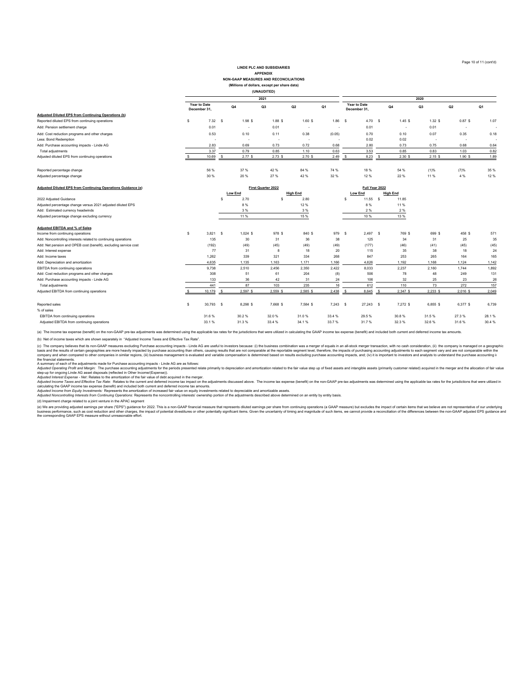#### **LINDE PLC AND SUBSIDIARIES APPENDIX NON-GAAP MEASURES AND RECONCILIATIONS**

**(Millions of dollars, except per share data)**

|                                                     |              |                          |      |       | (UNAUDITED)              |           |                |                              |         |       |       |           |                          |  |
|-----------------------------------------------------|--------------|--------------------------|------|-------|--------------------------|-----------|----------------|------------------------------|---------|-------|-------|-----------|--------------------------|--|
|                                                     |              |                          |      |       | 2021                     |           | 2020           |                              |         |       |       |           |                          |  |
|                                                     | December 31, | Year to Date             | Q4   |       | Q3                       | Q2        | Q1             | Year to Date<br>December 31, |         | Q4    | Q3    | Q2        | Q1                       |  |
| Adiusted Diluted EPS from Continuing Operations (b) |              |                          |      |       |                          |           |                |                              |         |       |       |           |                          |  |
| Reported diluted EPS from continuing operations     |              | 7.32                     | - \$ | 1.98S | 1.88 \$                  | $1.60$ \$ | 1.86           | s                            | 4.70 \$ | 1.45S | 1.32S | $0.87$ \$ | 1.07                     |  |
| Add: Pension settlement charge                      |              | 0.01                     |      | . .   | 0.01                     | . .       | $\blacksquare$ |                              | 0.01    |       | 0.01  |           |                          |  |
| Add: Cost reduction programs and other charges      |              | 0.53                     |      | 0.10  | 0.11                     | 0.38      | (0.05)         |                              | 0.70    | 0.10  | 0.07  | 0.35      | 0.18                     |  |
| Less: Bond Redemption                               |              | $\overline{\phantom{a}}$ |      | . .   | $\overline{\phantom{a}}$ |           |                |                              | 0.02    | 0.02  | . .   |           | $\overline{\phantom{a}}$ |  |
| Add: Purchase accounting impacts - Linde AG         |              | 2.83                     |      | 0.69  | 0.73                     | 0.72      | 0.68           |                              | 2.80    | 0.73  | 0.75  | 0.68      | 0.64                     |  |
| Total adjustments                                   |              | 3.37                     |      | 0.79  | 0.85                     | 1.10      | 0.63           |                              | 3.53    | 0.85  | 0.83  | 1.03      | 0.82                     |  |
| Adjusted diluted EPS from continuing operations     |              | 10.69                    |      | 2.77S | 2.73S                    | $2.70$ \$ | 2.49           |                              | 8.23    | 2.30S | 2.15S | 1.90S     | 1.89                     |  |
| Reported percentage change                          |              | 56 %                     |      | 37 %  | 42 %                     | 84 %      | 74 %           |                              | 18 %    | 54 %  | (1)%  | (7)%      | 35 %                     |  |

| Adjusted percentage change                                       | 30 %   |                    | 20 %       | 27 %     | 42 %            | 32 %  | 12 %            | 22 %            | 11 %            | 4 %      | 12 %  |
|------------------------------------------------------------------|--------|--------------------|------------|----------|-----------------|-------|-----------------|-----------------|-----------------|----------|-------|
| Adjusted Diluted EPS from Continuing Operations Guidance (e)     |        | First Quarter 2022 |            |          |                 |       |                 | Full Year 2022  |                 |          |       |
|                                                                  |        | <b>Low End</b>     |            |          | <b>High End</b> |       | <b>Low End</b>  | <b>High End</b> |                 |          |       |
| 2022 Adjusted Guidance                                           |        |                    | 2.70       |          | 2.80            |       | 11.55 \$        | 11.85           |                 |          |       |
| Adjusted percentage change versus 2021 adjusted diluted EPS      |        |                    | 8 %        |          | 12 %            |       | 8 %             | 11 %            |                 |          |       |
| Add: Estimated currency headwinds                                |        |                    | 3 %        |          | 3 %             |       | 2%              | 2%              |                 |          |       |
| Adjusted percentage change excluding currency                    |        |                    | 11 %       |          | 15 %            |       | 10 %            | 13 %            |                 |          |       |
| Adjusted EBITDA and % of Sales                                   |        |                    |            |          |                 |       |                 |                 |                 |          |       |
| Income from continuing operations                                | 3,821  | -S                 | $1,024$ \$ | 978 S    | 840 \$          | 979   | 2.497 \$<br>- 5 |                 | 769 \$<br>699 S | 458 \$   | 571   |
| Add: Noncontrolling interests related to continuing operations   | 135    |                    | 30         | 31       | 36              | 38    | 125             | 34              | 31              | 25       | 35    |
| Add: Net pension and OPEB cost (benefit), excluding service cost | (192)  |                    | (49)       | (45)     | (49)            | (49)  | (177)           | (46)            | (41)            | (45)     | (45)  |
| Add: Interest expense                                            | 77     |                    | 31         |          | 18              | 20    | 115             |                 | 38<br>35        | 18       | 24    |
| Add: Income taxes                                                | 1.262  |                    | 339        | 321      | 334             | 268   | 847             | 253             | 265             | 164      | 165   |
| Add: Depreciation and amortization                               | 4,635  |                    | 1.135      | 1.163    | 1.171           | 1.166 | 4,626           | 1.192           | 1.168           | 1.124    | 1,142 |
| EBITDA from continuing operations                                | 9,738  |                    | 2,510      | 2,456    | 2,350           | 2,422 | 8,033           | 2,237           | 2,160           | 1.744    | 1,892 |
| Add: Cost reduction programs and other charges                   | 308    |                    | 51         | 61       | 204             | (8)   | 506             | 78              | 48              | 249      | 131   |
| Add: Purchase accounting impacts - Linde AG                      | 133    |                    | 36         | 42       | 31              | 24    | 106             |                 | 32<br>25        | 23       | 26    |
| Total adjustments                                                | 441    |                    | 87         | 103      | 235             | 16    | 612             | 110             | 73              | 272      | 157   |
| Adjusted EBITDA from continuing operations                       | 10.179 |                    | 2,597 \$   | 2,559 \$ | 2,585 \$        | 2,438 | 8.645 S         | 2,347 \$        | $2,233$ \$      | 2,016 \$ | 2.049 |

% of sales EBITDA from continuing operations 31.6 % 30.2 % 32.0 % 31.0 % 33.4 % 29.5 % 30.8 % 31.5 % 27.3 % 28.1 % Adjusted EBITDA from continuing operations 33.4 % 31.3 % 31.3 % 33.4 % 33.4 % 33.7 % 31.7 % 32.6 % 31.6 % 30.4 %

(a) The income tax expense (benefit) on the non-GAAP pre-tax adjustments was determined using the applicable tax rates for the jurisdictions that were utilized in calculating the GAAP income tax expense (benefit) and inclu

(b) Net of income taxes which are shown separately in "Adjusted Income Taxes and Effective Tax Rate".

(c) The company believes that its non-GAP measures excluing Purchase accounting impacts<br>basis and the results of octain peopaphies are more heavily impacted by purchase accounting than others, causing results in westors be

Reported sales \$ 30,793 \$ 8,298 \$ 7,668 \$ 7,584 \$ 27,243 \$ 7,272 \$ 6,855 \$ 6,377 \$ 6,739

(d) Impairment charge related to a joint venture in the APAC segment

(e) We are providing adjusted earnings per share ("EPS") guidance for 2022. This is a non-GAAP financial measure that represents diluted earnings per share from continuing operations (a GAAP measure) but excludes the impac